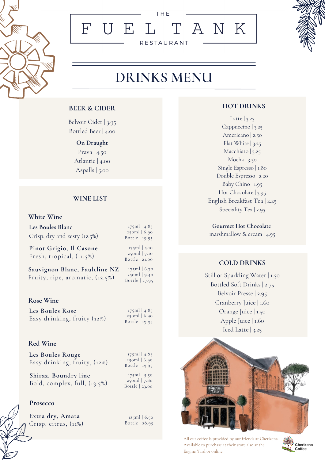

## THE FUEL TANK **RESTAURANT**



# DRINKS MENU

#### **BEER & CIDER**

Belvoir Cider | 3.95 Bottled Beer | 4.00

#### **On Draught**

Prava | 4.50 Atlantic | 4.00 Aspalls | 5.00

#### **WINE LIST**

#### **White Wine**

**Les Boules Blanc** Crisp, dry and zesty (12.5%)

**Pinot Grigio, Il Casone** Fresh, tropical, (11.5%)

**Sauvignon Blanc, Faultline NZ** Fruity, ripe, aromatic, (12.5%)

#### **Rose Wine**

**Les Boules Rose** Easy drinking, fruity (12%)

#### **Red Wine**

**Les Boules Rouge** Easy drinking, fruity, (12%)

**Shiraz, Boundry line** Bold, complex, full, (13.5%)

#### **Prosecco**

**Extra dry, Amata** Crisp, citrus, (11%)

125ml | 6.50 Bottle | 28.95

#### **HOT DRINKS**

Latte | 3.25 Cappuccino | 3.25 Americano | 2.50 Flat White  $|3.25$ Macchiato | 3.25 Mocha | 3.50 Single Espresso | 1.80 Double Espresso | 2.20 Baby Chino | 1.95 Hot Chocolate 3.95 English Breakfast Tea | 2.25 Speciality Tea | 2.95

**Gourmet Hot Chocolate** marshmallow & cream | 4.95

#### **COLD DRINKS**

Still or Sparkling Water | 1.50 Bottled Soft Drinks | 2.75 Belvoir Presse | 2.95 Cranberry Juice | 1.60 Orange Juice | 1.50 Apple Juice | 1.60 Iced Latte |  $3.25$ 



All our coffee is provided by our friends at Cherizena. Available to purchase at their store also at the Engine Yard or online!



175ml | 4.85 250ml | 6.90 Bottle | 19.95

175ml | 5.10 250ml | 7.10 Bottle | 21.00

175ml | 4.85 250ml | 6.90 Bottle | 19.95

175ml | 6.70 250ml | 9.40 Bottle | 27.95

175ml | 4.85 250ml | 6.90 Bottle | 19.95

175ml | 5.50 250ml | 7.80 Bottle | 23.00